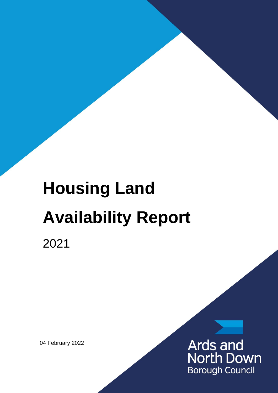# **Housing Land Availability Report**

2021

04 February 2022

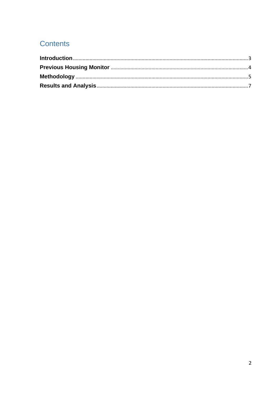# **Contents**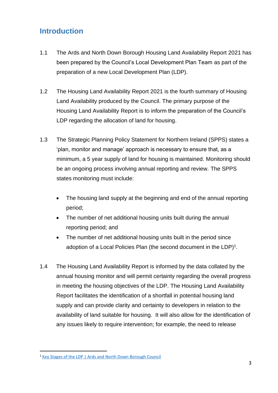# <span id="page-2-0"></span>**Introduction**

- 1.1 The Ards and North Down Borough Housing Land Availability Report 2021 has been prepared by the Council's Local Development Plan Team as part of the preparation of a new Local Development Plan (LDP).
- 1.2 The Housing Land Availability Report 2021 is the fourth summary of Housing Land Availability produced by the Council. The primary purpose of the Housing Land Availability Report is to inform the preparation of the Council's LDP regarding the allocation of land for housing.
- 1.3 The Strategic Planning Policy Statement for Northern Ireland (SPPS) states a 'plan, monitor and manage' approach is necessary to ensure that, as a minimum, a 5 year supply of land for housing is maintained. Monitoring should be an ongoing process involving annual reporting and review. The SPPS states monitoring must include:
	- The housing land supply at the beginning and end of the annual reporting period;
	- The number of net additional housing units built during the annual reporting period; and
	- The number of net additional housing units built in the period since adoption of a Local Policies Plan (the second document in the LDP) $^1$ .
- 1.4 The Housing Land Availability Report is informed by the data collated by the annual housing monitor and will permit certainty regarding the overall progress in meeting the housing objectives of the LDP. The Housing Land Availability Report facilitates the identification of a shortfall in potential housing land supply and can provide clarity and certainty to developers in relation to the availability of land suitable for housing. It will also allow for the identification of any issues likely to require intervention; for example, the need to release

<sup>&</sup>lt;sup>1</sup> [Key Stages of the LDP | Ards and North Down Borough Council](https://www.ardsandnorthdown.gov.uk/resident/planning/local-development-plan/key-stages-of-the-ldp)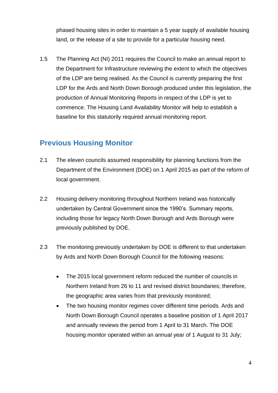phased housing sites in order to maintain a 5 year supply of available housing land, or the release of a site to provide for a particular housing need.

1.5 The Planning Act (NI) 2011 requires the Council to make an annual report to the Department for Infrastructure reviewing the extent to which the objectives of the LDP are being realised. As the Council is currently preparing the first LDP for the Ards and North Down Borough produced under this legislation, the production of Annual Monitoring Reports in respect of the LDP is yet to commence. The Housing Land Availability Monitor will help to establish a baseline for this statutorily required annual monitoring report.

## <span id="page-3-0"></span>**Previous Housing Monitor**

- 2.1 The eleven councils assumed responsibility for planning functions from the Department of the Environment (DOE) on 1 April 2015 as part of the reform of local government.
- 2.2 Housing delivery monitoring throughout Northern Ireland was historically undertaken by Central Government since the 1990's. Summary reports, including those for legacy North Down Borough and Ards Borough were previously published by DOE.
- 2.3 The monitoring previously undertaken by DOE is different to that undertaken by Ards and North Down Borough Council for the following reasons:
	- The 2015 local government reform reduced the number of councils in Northern Ireland from 26 to 11 and revised district boundaries; therefore, the geographic area varies from that previously monitored;
	- The two housing monitor regimes cover different time periods. Ards and North Down Borough Council operates a baseline position of 1 April 2017 and annually reviews the period from 1 April to 31 March. The DOE housing monitor operated within an annual year of 1 August to 31 July;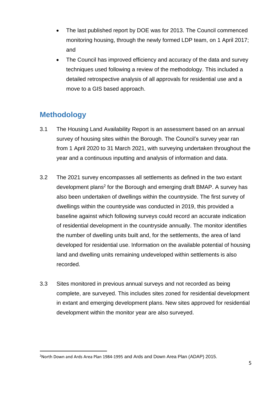- The last published report by DOE was for 2013. The Council commenced monitoring housing, through the newly formed LDP team, on 1 April 2017; and
- The Council has improved efficiency and accuracy of the data and survey techniques used following a review of the methodology. This included a detailed retrospective analysis of all approvals for residential use and a move to a GIS based approach.

# <span id="page-4-0"></span>**Methodology**

- 3.1 The Housing Land Availability Report is an assessment based on an annual survey of housing sites within the Borough. The Council's survey year ran from 1 April 2020 to 31 March 2021, with surveying undertaken throughout the year and a continuous inputting and analysis of information and data.
- 3.2 The 2021 survey encompasses all settlements as defined in the two extant development plans<sup>2</sup> for the Borough and emerging draft BMAP. A survey has also been undertaken of dwellings within the countryside. The first survey of dwellings within the countryside was conducted in 2019, this provided a baseline against which following surveys could record an accurate indication of residential development in the countryside annually. The monitor identifies the number of dwelling units built and, for the settlements, the area of land developed for residential use. Information on the available potential of housing land and dwelling units remaining undeveloped within settlements is also recorded.
- 3.3 Sites monitored in previous annual surveys and not recorded as being complete, are surveyed. This includes sites zoned for residential development in extant and emerging development plans. New sites approved for residential development within the monitor year are also surveyed.

<sup>&</sup>lt;sup>2</sup>North Down and Ards Area Plan 1984-1995 and Ards and Down Area Plan (ADAP) 2015.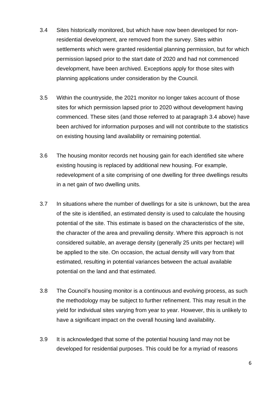- 3.4 Sites historically monitored, but which have now been developed for nonresidential development, are removed from the survey. Sites within settlements which were granted residential planning permission, but for which permission lapsed prior to the start date of 2020 and had not commenced development, have been archived. Exceptions apply for those sites with planning applications under consideration by the Council.
- 3.5 Within the countryside, the 2021 monitor no longer takes account of those sites for which permission lapsed prior to 2020 without development having commenced. These sites (and those referred to at paragraph 3.4 above) have been archived for information purposes and will not contribute to the statistics on existing housing land availability or remaining potential.
- 3.6 The housing monitor records net housing gain for each identified site where existing housing is replaced by additional new housing. For example, redevelopment of a site comprising of one dwelling for three dwellings results in a net gain of two dwelling units.
- 3.7 In situations where the number of dwellings for a site is unknown, but the area of the site is identified, an estimated density is used to calculate the housing potential of the site. This estimate is based on the characteristics of the site, the character of the area and prevailing density. Where this approach is not considered suitable, an average density (generally 25 units per hectare) will be applied to the site. On occasion, the actual density will vary from that estimated, resulting in potential variances between the actual available potential on the land and that estimated.
- 3.8 The Council's housing monitor is a continuous and evolving process, as such the methodology may be subject to further refinement. This may result in the yield for individual sites varying from year to year. However, this is unlikely to have a significant impact on the overall housing land availability.
- 3.9 It is acknowledged that some of the potential housing land may not be developed for residential purposes. This could be for a myriad of reasons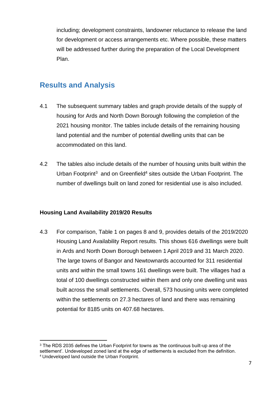including; development constraints, landowner reluctance to release the land for development or access arrangements etc. Where possible, these matters will be addressed further during the preparation of the Local Development Plan.

## <span id="page-6-0"></span>**Results and Analysis**

- 4.1 The subsequent summary tables and graph provide details of the supply of housing for Ards and North Down Borough following the completion of the 2021 housing monitor. The tables include details of the remaining housing land potential and the number of potential dwelling units that can be accommodated on this land.
- 4.2 The tables also include details of the number of housing units built within the Urban Footprint<sup>3</sup> and on Greenfield<sup>4</sup> sites outside the Urban Footprint. The number of dwellings built on land zoned for residential use is also included.

## **Housing Land Availability 2019/20 Results**

4.3 For comparison, Table 1 on pages 8 and 9, provides details of the 2019/2020 Housing Land Availability Report results. This shows 616 dwellings were built in Ards and North Down Borough between 1 April 2019 and 31 March 2020. The large towns of Bangor and Newtownards accounted for 311 residential units and within the small towns 161 dwellings were built. The villages had a total of 100 dwellings constructed within them and only one dwelling unit was built across the small settlements. Overall, 573 housing units were completed within the settlements on 27.3 hectares of land and there was remaining potential for 8185 units on 407.68 hectares.

 $3$  The RDS 2035 defines the Urban Footprint for towns as 'the continuous built-up area of the settlement'. Undeveloped zoned land at the edge of settlements is excluded from the definition. <sup>4</sup> Undeveloped land outside the Urban Footprint.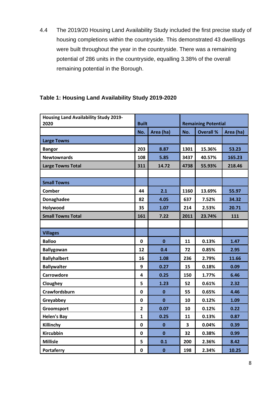4.4 The 2019/20 Housing Land Availability Study included the first precise study of housing completions within the countryside. This demonstrated 43 dwellings were built throughout the year in the countryside. There was a remaining potential of 286 units in the countryside, equalling 3.38% of the overall remaining potential in the Borough.

| <b>Housing Land Availability Study 2019-</b><br>2020 | <b>Built</b>   |             | <b>Remaining Potential</b> |                  |           |  |
|------------------------------------------------------|----------------|-------------|----------------------------|------------------|-----------|--|
|                                                      | No.            | Area (ha)   | No.                        | <b>Overall %</b> | Area (ha) |  |
| <b>Large Towns</b>                                   |                |             |                            |                  |           |  |
| <b>Bangor</b>                                        | 203            | 8.87        | 1301                       | 15.36%           | 53.23     |  |
| <b>Newtownards</b>                                   | 108            | 5.85        | 3437                       | 40.57%           | 165.23    |  |
| <b>Large Towns Total</b>                             | 311            | 14.72       | 4738                       | 55.93%           | 218.46    |  |
|                                                      |                |             |                            |                  |           |  |
| <b>Small Towns</b>                                   |                |             |                            |                  |           |  |
| Comber                                               | 44             | 2.1         | 1160                       | 13.69%           | 55.97     |  |
| <b>Donaghadee</b>                                    | 82             | 4.05        | 637                        | 7.52%            | 34.32     |  |
| Holywood                                             | 35             | 1.07        | 214                        | 2.53%            | 20.71     |  |
| <b>Small Towns Total</b>                             | 161            | 7.22        | 2011                       | 23.74%           | 111       |  |
|                                                      |                |             |                            |                  |           |  |
| <b>Villages</b>                                      |                |             |                            |                  |           |  |
| <b>Balloo</b>                                        | 0              | $\mathbf 0$ | 11                         | 0.13%            | 1.47      |  |
| <b>Ballygowan</b>                                    | 12             | 0.4         | 72                         | 0.85%            | 2.95      |  |
| <b>Ballyhalbert</b>                                  | 16             | 1.08        | 236                        | 2.79%            | 11.66     |  |
| <b>Ballywalter</b>                                   | 9              | 0.27        | 15                         | 0.18%            | 0.09      |  |
| <b>Carrowdore</b>                                    | 4              | 0.25        | 150                        | 1.77%            | 6.46      |  |
| Cloughey                                             | 5              | 1.23        | 52                         | 0.61%            | 2.32      |  |
| Crawfordsburn                                        | $\mathbf 0$    | $\mathbf 0$ | 55                         | 0.65%            | 4.46      |  |
| Greyabbey                                            | $\mathbf 0$    | $\mathbf 0$ | 10                         | 0.12%            | 1.09      |  |
| Groomsport                                           | $\overline{2}$ | 0.07        | 10                         | 0.12%            | 0.22      |  |
| <b>Helen's Bay</b>                                   | $\mathbf{1}$   | 0.25        | 11                         | 0.13%            | 0.87      |  |
| Killinchy                                            | $\mathbf 0$    | $\bf{0}$    | 3                          | 0.04%            | 0.39      |  |
| <b>Kircubbin</b>                                     | $\mathbf 0$    | $\mathbf 0$ | 32                         | 0.38%            | 0.99      |  |
| <b>Millisle</b>                                      | 5              | 0.1         | 200                        | 2.36%            | 8.42      |  |
| Portaferry                                           | $\pmb{0}$      | $\bf{0}$    | 198                        | 2.34%            | 10.25     |  |

## **Table 1: Housing Land Availability Study 2019-2020**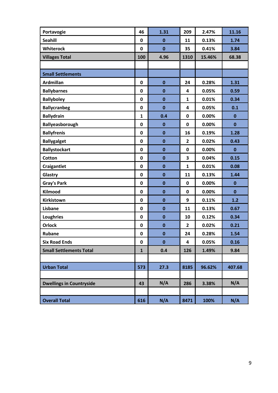| Portavogie                      | 46           | 1.31     | 209          | 2.47%  | 11.16        |
|---------------------------------|--------------|----------|--------------|--------|--------------|
| <b>Seahill</b>                  | 0            | $\bf{0}$ | 11           | 0.13%  | 1.74         |
| Whiterock                       | 0            | $\bf{0}$ | 35           | 0.41%  | 3.84         |
| <b>Villages Total</b>           | 100          | 4.96     | 1310         | 15.46% | 68.38        |
|                                 |              |          |              |        |              |
| <b>Small Settlements</b>        |              |          |              |        |              |
| <b>Ardmillan</b>                | 0            | $\bf{0}$ | 24           | 0.28%  | 1.31         |
| <b>Ballybarnes</b>              | 0            | $\bf{0}$ | 4            | 0.05%  | 0.59         |
| <b>Ballyboley</b>               | 0            | $\bf{0}$ | $\mathbf{1}$ | 0.01%  | 0.34         |
| <b>Ballycranbeg</b>             | 0            | $\bf{0}$ | 4            | 0.05%  | 0.1          |
| <b>Ballydrain</b>               | $\mathbf{1}$ | 0.4      | $\mathbf 0$  | 0.00%  | $\bf{0}$     |
| Ballyeasborough                 | 0            | $\bf{0}$ | $\mathbf 0$  | 0.00%  | $\bf{0}$     |
| <b>Ballyfrenis</b>              | 0            | $\bf{0}$ | 16           | 0.19%  | 1.28         |
| <b>Ballygalget</b>              | 0            | $\bf{0}$ | $\mathbf{2}$ | 0.02%  | 0.43         |
| <b>Ballystockart</b>            | 0            | $\bf{0}$ | $\mathbf 0$  | 0.00%  | $\mathbf 0$  |
| Cotton                          | 0            | $\bf{0}$ | 3            | 0.04%  | 0.15         |
| Craigantlet                     | 0            | $\bf{0}$ | $\mathbf{1}$ | 0.01%  | 0.08         |
| Glastry                         | 0            | $\bf{0}$ | 11           | 0.13%  | 1.44         |
| <b>Gray's Park</b>              | 0            | $\bf{0}$ | $\mathbf 0$  | 0.00%  | $\mathbf 0$  |
| Kilmood                         | 0            | $\bf{0}$ | $\mathbf 0$  | 0.00%  | $\mathbf{0}$ |
| Kirkistown                      | 0            | $\bf{0}$ | 9            | 0.11%  | $1.2$        |
| Lisbane                         | 0            | $\bf{0}$ | 11           | 0.13%  | 0.67         |
| <b>Loughries</b>                | 0            | $\bf{0}$ | 10           | 0.12%  | 0.34         |
| <b>Orlock</b>                   | 0            | $\bf{0}$ | $\mathbf{2}$ | 0.02%  | 0.21         |
| <b>Rubane</b>                   | 0            | $\bf{0}$ | 24           | 0.28%  | 1.54         |
| <b>Six Road Ends</b>            | 0            | $\bf{0}$ | 4            | 0.05%  | 0.16         |
| <b>Small Settlements Total</b>  | $\mathbf{1}$ | 0.4      | 126          | 1.49%  | 9.84         |
|                                 |              |          |              |        |              |
| <b>Urban Total</b>              | 573          | 27.3     | 8185         | 96.62% | 407.68       |
|                                 |              |          |              |        |              |
| <b>Dwellings in Countryside</b> | 43           | N/A      | 286          | 3.38%  | N/A          |
|                                 |              |          |              |        |              |
| <b>Overall Total</b>            | 616          | N/A      | 8471         | 100%   | N/A          |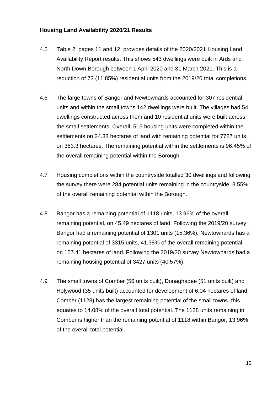#### **Housing Land Availability 2020/21 Results**

- 4.5 Table 2, pages 11 and 12, provides details of the 2020/2021 Housing Land Availability Report results. This shows 543 dwellings were built in Ards and North Down Borough between 1 April 2020 and 31 March 2021. This is a reduction of 73 (11.85%) residential units from the 2019/20 total completions.
- 4.6 The large towns of Bangor and Newtownards accounted for 307 residential units and within the small towns 142 dwellings were built. The villages had 54 dwellings constructed across them and 10 residential units were built across the small settlements. Overall, 513 housing units were completed within the settlements on 24.33 hectares of land with remaining potential for 7727 units on 383.3 hectares. The remaining potential within the settlements is 96.45% of the overall remaining potential within the Borough.
- 4.7 Housing completions within the countryside totalled 30 dwellings and following the survey there were 284 potential units remaining in the countryside, 3.55% of the overall remaining potential within the Borough.
- 4.8 Bangor has a remaining potential of 1118 units, 13.96% of the overall remaining potential, on 45.49 hectares of land. Following the 2019/20 survey Bangor had a remaining potential of 1301 units (15.36%). Newtownards has a remaining potential of 3315 units, 41.38% of the overall remaining potential, on 157.41 hectares of land. Following the 2019/20 survey Newtownards had a remaining housing potential of 3427 units (40.57%).
- 4.9 The small towns of Comber (56 units built), Donaghadee (51 units built) and Holywood (35 units built) accounted for development of 6.04 hectares of land. Comber (1128) has the largest remaining potential of the small towns, this equates to 14.08% of the overall total potential. The 1128 units remaining in Comber is higher than the remaining potential of 1118 within Bangor, 13.96% of the overall total potential.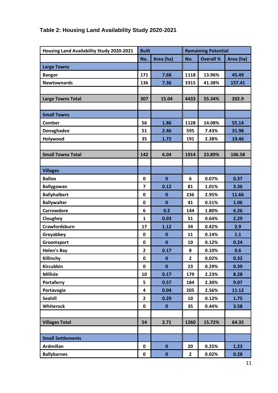| Housing Land Availability Study 2020-2021 | <b>Built</b>            |              | <b>Remaining Potential</b> |                  |           |  |  |
|-------------------------------------------|-------------------------|--------------|----------------------------|------------------|-----------|--|--|
|                                           | No.                     | Area (ha)    | No.                        | <b>Overall %</b> | Area (ha) |  |  |
| <b>Large Towns</b>                        |                         |              |                            |                  |           |  |  |
| <b>Bangor</b>                             | 171                     | 7.68         | 1118                       | 13.96%           | 45.49     |  |  |
| <b>Newtownards</b>                        | 136                     | 7.36         | 3315                       | 41.38%           | 157.41    |  |  |
|                                           |                         |              |                            |                  |           |  |  |
| <b>Large Towns Total</b>                  | 307                     | 15.04        | 4433                       | 55.34%           | 202.9     |  |  |
|                                           |                         |              |                            |                  |           |  |  |
| <b>Small Towns</b>                        |                         |              |                            |                  |           |  |  |
| Comber                                    | 56                      | 1.86         | 1128                       | 14.08%           | 55.14     |  |  |
| Donaghadee                                | 51                      | 2.46         | 595                        | 7.43%            | 31.98     |  |  |
| Holywood                                  | 35                      | 1.72         | 191                        | 2.38%            | 19.46     |  |  |
|                                           |                         |              |                            |                  |           |  |  |
| <b>Small Towns Total</b>                  | 142                     | 6.04         | 1914                       | 23.89%           | 106.58    |  |  |
|                                           |                         |              |                            |                  |           |  |  |
| <b>Villages</b>                           |                         |              |                            |                  |           |  |  |
| <b>Balloo</b>                             | $\mathbf 0$             | $\mathbf 0$  | 6                          | 0.07%            | 0.37      |  |  |
| <b>Ballygowan</b>                         | $\overline{7}$          | 0.12         | 81                         | 1.01%            | 3.36      |  |  |
| <b>Ballyhalbert</b>                       | $\mathbf 0$             | $\mathbf 0$  | 236                        | 2.95%            | 11.66     |  |  |
| <b>Ballywalter</b>                        | $\mathbf 0$             | $\mathbf{0}$ | 41                         | 0.51%            | 1.06      |  |  |
| Carrowdore                                | 6                       | 0.2          | 144                        | 1.80%            | 6.26      |  |  |
| Cloughey                                  | 1                       | 0.03         | 51                         | 0.64%            | 2.29      |  |  |
| Crawfordsburn                             | 17                      | 1.12         | 34                         | 0.42%            | 2.9       |  |  |
| Greyabbey                                 | $\mathbf 0$             | $\mathbf 0$  | 11                         | 0.14%            | 1.1       |  |  |
| Groomsport                                | $\mathbf 0$             | $\mathbf{0}$ | 10                         | 0.12%            | 0.24      |  |  |
| <b>Helen's Bay</b>                        | $\overline{2}$          | 0.17         | 8                          | 0.10%            | 0.6       |  |  |
| Killinchy                                 | $\pmb{0}$               | $\bf{0}$     | $\mathbf{2}$               | 0.02%            | 0.32      |  |  |
| <b>Kircubbin</b>                          | $\mathbf 0$             | $\mathbf 0$  | 23                         | 0.29%            | 0.39      |  |  |
| <b>Millisle</b>                           | 10                      | 0.17         | 179                        | 2.23%            | 8.28      |  |  |
| <b>Portaferry</b>                         | 5                       | 0.57         | 184                        | 2.30%            | 9.07      |  |  |
| Portavogie                                | $\overline{\mathbf{4}}$ | 0.04         | 205                        | 2.56%            | 11.12     |  |  |
| <b>Seahill</b>                            | $\overline{2}$          | 0.29         | 10                         | 0.12%            | 1.75      |  |  |
| <b>Whiterock</b>                          | $\pmb{0}$               | $\bf{0}$     | 35                         | 0.44%            | 3.58      |  |  |
|                                           |                         |              |                            |                  |           |  |  |
| <b>Villages Total</b>                     | 54                      | 2.71         | 1260                       | 15.72%           | 64.35     |  |  |
|                                           |                         |              |                            |                  |           |  |  |
| <b>Small Settlements</b>                  |                         |              |                            |                  |           |  |  |
| <b>Ardmillan</b>                          | $\mathbf 0$             | $\mathbf 0$  | 20                         | 0.25%            | 1.23      |  |  |
| <b>Ballybarnes</b>                        | $\pmb{0}$               | $\mathbf 0$  | $\overline{2}$             | 0.02%            | 0.28      |  |  |

## **Table 2: Housing Land Availability Study 2020-2021**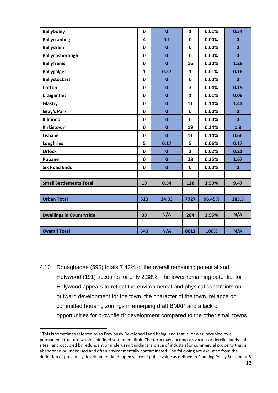| <b>Ballyboley</b>               | $\mathbf 0$  | $\mathbf{0}$ | $\mathbf{1}$   | 0.01%  | 0.34         |
|---------------------------------|--------------|--------------|----------------|--------|--------------|
| <b>Ballycranbeg</b>             | 4            | 0.1          | $\mathbf 0$    | 0.00%  | $\bf{0}$     |
| <b>Ballydrain</b>               | $\mathbf 0$  | $\mathbf{0}$ | $\mathbf 0$    | 0.00%  | $\mathbf{0}$ |
| Ballyeasborough                 | $\mathbf 0$  | $\mathbf 0$  | $\mathbf 0$    | 0.00%  | $\mathbf 0$  |
| <b>Ballyfrenis</b>              | 0            | $\mathbf{0}$ | 16             | 0.20%  | 1.28         |
| <b>Ballygalget</b>              | $\mathbf{1}$ | 0.27         | $\mathbf{1}$   | 0.01%  | 0.16         |
| <b>Ballystockart</b>            | $\mathbf 0$  | $\mathbf 0$  | $\mathbf 0$    | 0.00%  | $\mathbf{0}$ |
| <b>Cotton</b>                   | $\mathbf 0$  | $\mathbf{0}$ | 3              | 0.04%  | 0.15         |
| <b>Craigantlet</b>              | $\mathbf 0$  | $\mathbf 0$  | $\mathbf{1}$   | 0.01%  | 0.08         |
| Glastry                         | $\mathbf 0$  | $\mathbf 0$  | 11             | 0.14%  | 1.44         |
| <b>Gray's Park</b>              | $\mathbf 0$  | $\mathbf 0$  | $\mathbf 0$    | 0.00%  | $\bf{0}$     |
| Kilmood                         | 0            | $\mathbf 0$  | 0              | 0.00%  | $\mathbf{0}$ |
| <b>Kirkistown</b>               | $\mathbf 0$  | $\mathbf{0}$ | 19             | 0.24%  | 1.8          |
| Lisbane                         | 0            | $\mathbf 0$  | 11             | 0.14%  | 0.66         |
| <b>Loughries</b>                | 5            | 0.17         | 5              | 0.06%  | 0.17         |
| <b>Orlock</b>                   | $\mathbf 0$  | $\mathbf{0}$ | $\overline{2}$ | 0.02%  | 0.21         |
| <b>Rubane</b>                   | 0            | $\mathbf 0$  | 28             | 0.35%  | 1.67         |
| <b>Six Road Ends</b>            | 0            | $\mathbf 0$  | $\mathbf 0$    | 0.00%  | $\mathbf 0$  |
|                                 |              |              |                |        |              |
| <b>Small Settlements Total</b>  | 10           | 0.54         | 120            | 1.50%  | 9.47         |
|                                 |              |              |                |        |              |
| <b>Urban Total</b>              | 513          | 24.33        | 7727           | 96.45% | 383.3        |
|                                 |              |              |                |        |              |
| <b>Dwellings in Countryside</b> | 30           | N/A          | 284            | 3.55%  | N/A          |
|                                 |              |              |                |        |              |
| <b>Overall Total</b>            | 543          | N/A          | 8011           | 100%   | N/A          |

4.10 Donaghadee (595) totals 7.43% of the overall remaining potential and Holywood (191) accounts for only 2.38%. The lower remaining potential for Holywood appears to reflect the environmental and physical constraints on outward development for the town, the character of the town, reliance on committed housing zonings in emerging draft BMAP and a lack of opportunities for brownfield<sup>5</sup> development compared to the other small towns

<sup>&</sup>lt;sup>5</sup> This is sometimes referred to as Previously Developed Land being land that is, or was, occupied by a permanent structure within a defined settlement limit. The term may encompass vacant or derelict lands, infill sites, land occupied by redundant or underused buildings, a piece of industrial or commercial property that is abandoned or underused and often environmentally contaminated. The following are excluded from the definition of previously development land: open space of public value as defined in Planning Policy Statement 8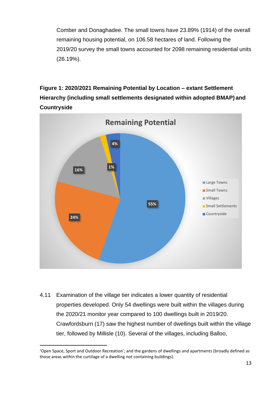Comber and Donaghadee. The small towns have 23.89% (1914) of the overall remaining housing potential, on 106.58 hectares of land. Following the 2019/20 survey the small towns accounted for 2098 remaining residential units (26.19%).

**Figure 1: 2020/2021 Remaining Potential by Location – extant Settlement Hierarchy (including small settlements designated within adopted BMAP) and Countryside**



4.11 Examination of the village tier indicates a lower quantity of residential properties developed. Only 54 dwellings were built within the villages during the 2020/21 monitor year compared to 100 dwellings built in 2019/20. Crawfordsburn (17) saw the highest number of dwellings built within the village tier, followed by Millisle (10). Several of the villages, including Balloo,

<sup>&#</sup>x27;Open Space, Sport and Outdoor Recreation'; and the gardens of dwellings and apartments (broadly defined as those areas within the curtilage of a dwelling not containing buildings).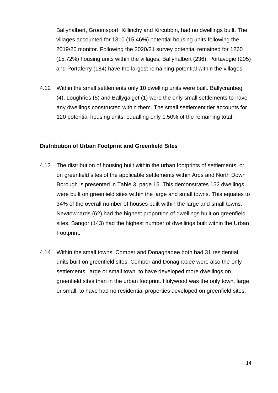Ballyhalbert, Groomsport, Killinchy and Kircubbin, had no dwellings built. The villages accounted for 1310 (15.46%) potential housing units following the 2019/20 monitor. Following the 2020/21 survey potential remained for 1260 (15.72%) housing units within the villages. Ballyhalbert (236), Portavogie (205) and Portaferry (184) have the largest remaining potential within the villages.

4.12 Within the small settlements only 10 dwelling units were built. Ballycranbeg (4), Loughries (5) and Ballygalget (1) were the only small settlements to have any dwellings constructed within them. The small settlement tier accounts for 120 potential housing units, equalling only 1.50% of the remaining total.

#### **Distribution of Urban Footprint and Greenfield Sites**

- 4.13 The distribution of housing built within the urban footprints of settlements, or on greenfield sites of the applicable settlements within Ards and North Down Borough is presented in Table 3, page 15. This demonstrates 152 dwellings were built on greenfield sites within the large and small towns. This equates to 34% of the overall number of houses built within the large and small towns. Newtownards (62) had the highest proportion of dwellings built on greenfield sites. Bangor (143) had the highest number of dwellings built within the Urban Footprint.
- 4.14 Within the small towns, Comber and Donaghadee both had 31 residential units built on greenfield sites. Comber and Donaghadee were also the only settlements, large or small town, to have developed more dwellings on greenfield sites than in the urban footprint. Holywood was the only town, large or small, to have had no residential properties developed on greenfield sites.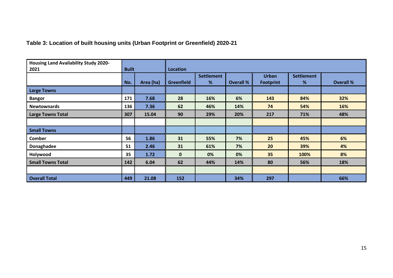## **Table 3: Location of built housing units (Urban Footprint or Greenfield) 2020-21**

| <b>Housing Land Availability Study 2020-</b> |              |           |                   |                   |                  |                  |                   |                  |  |  |
|----------------------------------------------|--------------|-----------|-------------------|-------------------|------------------|------------------|-------------------|------------------|--|--|
| 2021                                         | <b>Built</b> |           | <b>Location</b>   |                   |                  |                  |                   |                  |  |  |
|                                              |              |           |                   | <b>Settlement</b> |                  | <b>Urban</b>     | <b>Settlement</b> |                  |  |  |
|                                              | No.          | Area (ha) | <b>Greenfield</b> | %                 | <b>Overall %</b> | <b>Footprint</b> | %                 | <b>Overall %</b> |  |  |
| <b>Large Towns</b>                           |              |           |                   |                   |                  |                  |                   |                  |  |  |
| <b>Bangor</b>                                | 171          | 7.68      | 28                | 16%               | 6%               | 143              | 84%               | 32%              |  |  |
| <b>Newtownards</b>                           | 136          | 7.36      | 62                | 46%               | 14%              | 74               | 54%               | 16%              |  |  |
| <b>Large Towns Total</b>                     | 307          | 15.04     | 90                | 29%               | 20%              | 217              | 71%               | 48%              |  |  |
|                                              |              |           |                   |                   |                  |                  |                   |                  |  |  |
| <b>Small Towns</b>                           |              |           |                   |                   |                  |                  |                   |                  |  |  |
| <b>Comber</b>                                | 56           | 1.86      | 31                | 55%               | 7%               | 25               | 45%               | 6%               |  |  |
| Donaghadee                                   | 51           | 2.46      | 31                | 61%               | 7%               | 20               | 39%               | 4%               |  |  |
| Holywood                                     | 35           | 1.72      | $\mathbf{0}$      | 0%                | 0%               | 35               | 100%              | 8%               |  |  |
| <b>Small Towns Total</b>                     | 142          | 6.04      | 62                | 44%               | 14%              | 80               | 56%               | 18%              |  |  |
|                                              |              |           |                   |                   |                  |                  |                   |                  |  |  |
| <b>Overall Total</b>                         | 449          | 21.08     | 152               |                   | 34%              | 297              |                   | 66%              |  |  |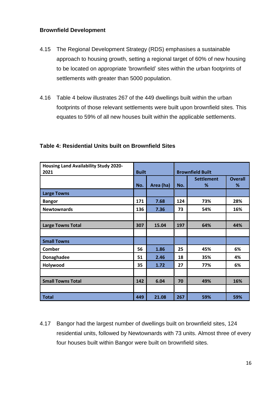#### **Brownfield Development**

- 4.15 The Regional Development Strategy (RDS) emphasises a sustainable approach to housing growth, setting a regional target of 60% of new housing to be located on appropriate 'brownfield' sites within the urban footprints of settlements with greater than 5000 population.
- 4.16 Table 4 below illustrates 267 of the 449 dwellings built within the urban footprints of those relevant settlements were built upon brownfield sites. This equates to 59% of all new houses built within the applicable settlements.

| <b>Housing Land Availability Study 2020-</b> |              |           |                         |                   |                |  |  |
|----------------------------------------------|--------------|-----------|-------------------------|-------------------|----------------|--|--|
| 2021                                         | <b>Built</b> |           | <b>Brownfield Built</b> |                   |                |  |  |
|                                              |              |           |                         | <b>Settlement</b> | <b>Overall</b> |  |  |
|                                              | No.          | Area (ha) | No.                     | %                 | %              |  |  |
| <b>Large Towns</b>                           |              |           |                         |                   |                |  |  |
| <b>Bangor</b>                                | 171          | 7.68      | 124                     | 73%               | 28%            |  |  |
| <b>Newtownards</b>                           | 136          | 7.36      | 73                      | 54%               | 16%            |  |  |
|                                              |              |           |                         |                   |                |  |  |
| <b>Large Towns Total</b>                     | 307          | 15.04     | 197                     | 64%               | 44%            |  |  |
|                                              |              |           |                         |                   |                |  |  |
| <b>Small Towns</b>                           |              |           |                         |                   |                |  |  |
| <b>Comber</b>                                | 56           | 1.86      | 25                      | 45%               | 6%             |  |  |
| Donaghadee                                   | 51           | 2.46      | 18                      | 35%               | 4%             |  |  |
| Holywood                                     | 35           | 1.72      | 27                      | 77%               | 6%             |  |  |
|                                              |              |           |                         |                   |                |  |  |
| <b>Small Towns Total</b>                     | 142          | 6.04      | 70                      | 49%               | 16%            |  |  |
|                                              |              |           |                         |                   |                |  |  |
| <b>Total</b>                                 | 449          | 21.08     | 267                     | 59%               | 59%            |  |  |

#### **Table 4: Residential Units built on Brownfield Sites**

4.17 Bangor had the largest number of dwellings built on brownfield sites, 124 residential units, followed by Newtownards with 73 units. Almost three of every four houses built within Bangor were built on brownfield sites.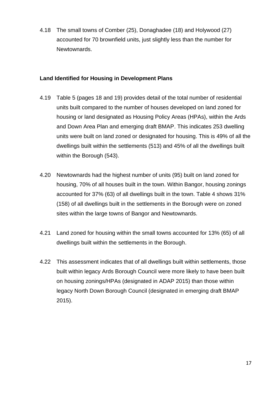4.18 The small towns of Comber (25), Donaghadee (18) and Holywood (27) accounted for 70 brownfield units, just slightly less than the number for Newtownards.

## **Land Identified for Housing in Development Plans**

- 4.19 Table 5 (pages 18 and 19) provides detail of the total number of residential units built compared to the number of houses developed on land zoned for housing or land designated as Housing Policy Areas (HPAs), within the Ards and Down Area Plan and emerging draft BMAP. This indicates 253 dwelling units were built on land zoned or designated for housing. This is 49% of all the dwellings built within the settlements (513) and 45% of all the dwellings built within the Borough (543).
- 4.20 Newtownards had the highest number of units (95) built on land zoned for housing, 70% of all houses built in the town. Within Bangor, housing zonings accounted for 37% (63) of all dwellings built in the town. Table 4 shows 31% (158) of all dwellings built in the settlements in the Borough were on zoned sites within the large towns of Bangor and Newtownards.
- 4.21 Land zoned for housing within the small towns accounted for 13% (65) of all dwellings built within the settlements in the Borough.
- 4.22 This assessment indicates that of all dwellings built within settlements, those built within legacy Ards Borough Council were more likely to have been built on housing zonings/HPAs (designated in ADAP 2015) than those within legacy North Down Borough Council (designated in emerging draft BMAP 2015).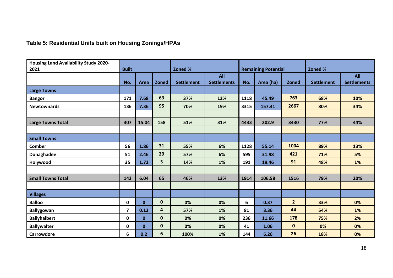## **Table 5: Residential Units built on Housing Zonings/HPAs**

| <b>Housing Land Availability Study 2020-</b> |                |              |                         |                   |                                  |      |                            |                |                   |                                  |  |
|----------------------------------------------|----------------|--------------|-------------------------|-------------------|----------------------------------|------|----------------------------|----------------|-------------------|----------------------------------|--|
| 2021                                         | <b>Built</b>   |              |                         | Zoned %           |                                  |      | <b>Remaining Potential</b> |                | Zoned %           |                                  |  |
|                                              | No.            | Area         | <b>Zoned</b>            | <b>Settlement</b> | <b>All</b><br><b>Settlements</b> | No.  | Area (ha)                  | <b>Zoned</b>   | <b>Settlement</b> | <b>All</b><br><b>Settlements</b> |  |
| <b>Large Towns</b>                           |                |              |                         |                   |                                  |      |                            |                |                   |                                  |  |
| <b>Bangor</b>                                | 171            | 7.68         | 63                      | 37%               | 12%                              | 1118 | 45.49                      | 763            | 68%               | 10%                              |  |
| <b>Newtownards</b>                           | 136            | 7.36         | 95                      | 70%               | 19%                              | 3315 | 157.41                     | 2667           | 80%               | 34%                              |  |
|                                              |                |              |                         |                   |                                  |      |                            |                |                   |                                  |  |
| <b>Large Towns Total</b>                     | 307            | 15.04        | 158                     | 51%               | 31%                              | 4433 | 202.9                      | 3430           | 77%               | 44%                              |  |
|                                              |                |              |                         |                   |                                  |      |                            |                |                   |                                  |  |
| <b>Small Towns</b>                           |                |              |                         |                   |                                  |      |                            |                |                   |                                  |  |
| <b>Comber</b>                                | 56             | 1.86         | 31                      | 55%               | 6%                               | 1128 | 55.14                      | 1004           | 89%               | 13%                              |  |
| Donaghadee                                   | 51             | 2.46         | 29                      | 57%               | 6%                               | 595  | 31.98                      | 421            | 71%               | 5%                               |  |
| Holywood                                     | 35             | 1.72         | 5                       | 14%               | 1%                               | 191  | 19.46                      | 91             | 48%               | 1%                               |  |
|                                              |                |              |                         |                   |                                  |      |                            |                |                   |                                  |  |
| <b>Small Towns Total</b>                     | 142            | 6.04         | 65                      | 46%               | 13%                              | 1914 | 106.58                     | 1516           | 79%               | 20%                              |  |
|                                              |                |              |                         |                   |                                  |      |                            |                |                   |                                  |  |
| <b>Villages</b>                              |                |              |                         |                   |                                  |      |                            |                |                   |                                  |  |
| <b>Balloo</b>                                | 0              | $\mathbf{0}$ | $\mathbf 0$             | 0%                | 0%                               | 6    | 0.37                       | $\overline{2}$ | 33%               | 0%                               |  |
| <b>Ballygowan</b>                            | $\overline{7}$ | 0.12         | $\overline{\mathbf{r}}$ | 57%               | 1%                               | 81   | 3.36                       | 44             | 54%               | 1%                               |  |
| <b>Ballyhalbert</b>                          | 0              | $\mathbf{0}$ | $\mathbf 0$             | 0%                | 0%                               | 236  | 11.66                      | 178            | 75%               | 2%                               |  |
| <b>Ballywalter</b>                           | 0              | $\mathbf{0}$ | $\mathbf 0$             | 0%                | 0%                               | 41   | 1.06                       | $\mathbf{0}$   | 0%                | 0%                               |  |
| Carrowdore                                   | 6              | 0.2          | 6                       | 100%              | 1%                               | 144  | 6.26                       | 26             | 18%               | 0%                               |  |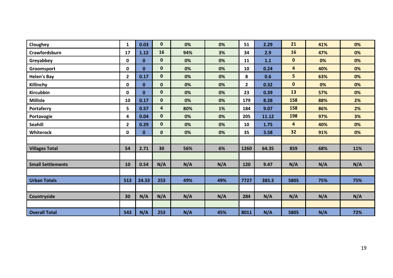| Cloughey                 | $\mathbf{1}$ | 0.03         | 0                       | 0%  | 0%  | 51           | 2.29  | 21                      | 41% | 0%  |
|--------------------------|--------------|--------------|-------------------------|-----|-----|--------------|-------|-------------------------|-----|-----|
| Crawfordsburn            | 17           | 1.12         | 16                      | 94% | 3%  | 34           | 2.9   | 16                      | 47% | 0%  |
| Greyabbey                | $\mathbf 0$  | $\mathbf{0}$ | $\mathbf{0}$            | 0%  | 0%  | 11           | 1.1   | $\mathbf{0}$            | 0%  | 0%  |
| Groomsport               | 0            | $\mathbf{0}$ | $\mathbf 0$             | 0%  | 0%  | 10           | 0.24  | 4                       | 40% | 0%  |
| <b>Helen's Bay</b>       | $\mathbf{2}$ | 0.17         | $\mathbf{0}$            | 0%  | 0%  | 8            | 0.6   | 5                       | 63% | 0%  |
| Killinchy                | 0            | $\mathbf{0}$ | $\mathbf{0}$            | 0%  | 0%  | $\mathbf{2}$ | 0.32  | $\mathbf{0}$            | 0%  | 0%  |
| Kircubbin                | 0            | $\mathbf{0}$ | $\mathbf{0}$            | 0%  | 0%  | 23           | 0.39  | 13                      | 57% | 0%  |
| <b>Millisle</b>          | 10           | 0.17         | $\mathbf{0}$            | 0%  | 0%  | 179          | 8.28  | 158                     | 88% | 2%  |
| <b>Portaferry</b>        | 5            | 0.57         | $\overline{\mathbf{4}}$ | 80% | 1%  | 184          | 9.07  | 158                     | 86% | 2%  |
| Portavogie               | 4            | 0.04         | $\mathbf{0}$            | 0%  | 0%  | 205          | 11.12 | 198                     | 97% | 3%  |
| Seahill                  | $2^{\circ}$  | 0.29         | $\mathbf{0}$            | 0%  | 0%  | 10           | 1.75  | $\overline{\mathbf{4}}$ | 40% | 0%  |
| Whiterock                | 0            | $\mathbf 0$  | $\mathbf{0}$            | 0%  | 0%  | 35           | 3.58  | 32                      | 91% | 0%  |
|                          |              |              |                         |     |     |              |       |                         |     |     |
| <b>Villages Total</b>    | 54           | 2.71         | 30                      | 56% | 6%  | 1260         | 64.35 | 859                     | 68% | 11% |
|                          |              |              |                         |     |     |              |       |                         |     |     |
| <b>Small Settlements</b> | 10           | 0.54         | N/A                     | N/A | N/A | 120          | 9.47  | N/A                     | N/A | N/A |
|                          |              |              |                         |     |     |              |       |                         |     |     |
| <b>Urban Totals</b>      | 513          | 24.33        | 253                     | 49% | 49% | 7727         | 383.3 | 5805                    | 75% | 75% |
|                          |              |              |                         |     |     |              |       |                         |     |     |
| Countryside              | 30           | N/A          | N/A                     | N/A | N/A | 284          | N/A   | N/A                     | N/A | N/A |
|                          |              |              |                         |     |     |              |       |                         |     |     |
| <b>Overall Total</b>     | 543          | N/A          | 253                     | N/A | 45% | 8011         | N/A   | 5805                    | N/A | 72% |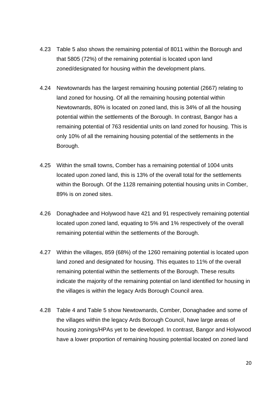- 4.23 Table 5 also shows the remaining potential of 8011 within the Borough and that 5805 (72%) of the remaining potential is located upon land zoned/designated for housing within the development plans.
- 4.24 Newtownards has the largest remaining housing potential (2667) relating to land zoned for housing. Of all the remaining housing potential within Newtownards, 80% is located on zoned land, this is 34% of all the housing potential within the settlements of the Borough. In contrast, Bangor has a remaining potential of 763 residential units on land zoned for housing. This is only 10% of all the remaining housing potential of the settlements in the Borough.
- 4.25 Within the small towns, Comber has a remaining potential of 1004 units located upon zoned land, this is 13% of the overall total for the settlements within the Borough. Of the 1128 remaining potential housing units in Comber, 89% is on zoned sites.
- 4.26 Donaghadee and Holywood have 421 and 91 respectively remaining potential located upon zoned land, equating to 5% and 1% respectively of the overall remaining potential within the settlements of the Borough.
- 4.27 Within the villages, 859 (68%) of the 1260 remaining potential is located upon land zoned and designated for housing. This equates to 11% of the overall remaining potential within the settlements of the Borough. These results indicate the majority of the remaining potential on land identified for housing in the villages is within the legacy Ards Borough Council area.
- 4.28 Table 4 and Table 5 show Newtownards, Comber, Donaghadee and some of the villages within the legacy Ards Borough Council, have large areas of housing zonings/HPAs yet to be developed. In contrast, Bangor and Holywood have a lower proportion of remaining housing potential located on zoned land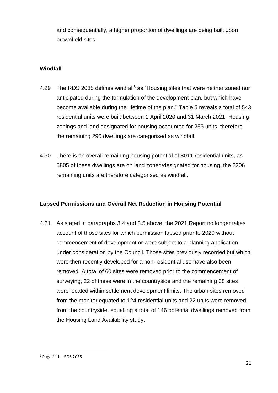and consequentially, a higher proportion of dwellings are being built upon brownfield sites.

## **Windfall**

- 4.29 The RDS 2035 defines windfall<sup>6</sup> as "Housing sites that were neither zoned nor anticipated during the formulation of the development plan, but which have become available during the lifetime of the plan." Table 5 reveals a total of 543 residential units were built between 1 April 2020 and 31 March 2021. Housing zonings and land designated for housing accounted for 253 units, therefore the remaining 290 dwellings are categorised as windfall.
- 4.30 There is an overall remaining housing potential of 8011 residential units, as 5805 of these dwellings are on land zoned/designated for housing, the 2206 remaining units are therefore categorised as windfall.

#### **Lapsed Permissions and Overall Net Reduction in Housing Potential**

4.31 As stated in paragraphs 3.4 and 3.5 above; the 2021 Report no longer takes account of those sites for which permission lapsed prior to 2020 without commencement of development or were subject to a planning application under consideration by the Council. Those sites previously recorded but which were then recently developed for a non-residential use have also been removed. A total of 60 sites were removed prior to the commencement of surveying, 22 of these were in the countryside and the remaining 38 sites were located within settlement development limits. The urban sites removed from the monitor equated to 124 residential units and 22 units were removed from the countryside, equalling a total of 146 potential dwellings removed from the Housing Land Availability study.

 $6$  Page 111 – RDS 2035